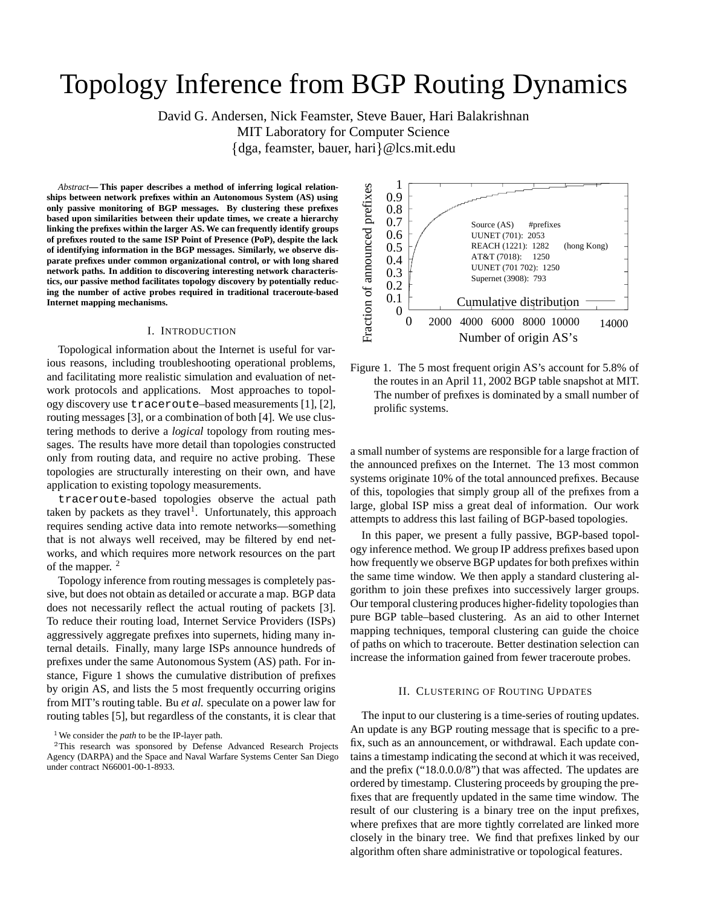# Topology Inference from BGP Routing Dynamics

David G. Andersen, Nick Feamster, Steve Bauer, Hari Balakrishnan

MIT Laboratory for Computer Science

 $\{dg$ a, feamster, bauer, hari $\}\omega$ lcs.mit.edu

*Abstract***— This paper describes a method of inferring logical relationships between network prefixes within an Autonomous System (AS) using only passive monitoring of BGP messages. By clustering these prefixes based upon similarities between their update times, we create a hierarchy linking the prefixes within the larger AS. We can frequently identify groups of prefixes routed to the same ISP Point of Presence (PoP), despite the lack of identifying information in the BGP messages. Similarly, we observe disparate prefixes under common organizational control, or with long shared network paths. In addition to discovering interesting network characteristics, our passive method facilitates topology discovery by potentially reducing the number of active probes required in traditional traceroute-based Internet mapping mechanisms.**

#### I. INTRODUCTION

Topological information about the Internet is useful for various reasons, including troubleshooting operational problems, and facilitating more realistic simulation and evaluation of network protocols and applications. Most approaches to topology discovery use traceroute–based measurements [1], [2], routing messages [3], or a combination of both [4]. We use clustering methods to derive a *logical* topology from routing messages. The results have more detail than topologies constructed only from routing data, and require no active probing. These topologies are structurally interesting on their own, and have application to existing topology measurements.

traceroute-based topologies observe the actual path taken by packets as they travel<sup>1</sup>. Unfortunately, this approach requires sending active data into remote networks—something that is not always well received, may be filtered by end networks, and which requires more network resources on the part of the mapper. <sup>2</sup>

Topology inference from routing messages is completely passive, but does not obtain as detailed or accurate a map. BGP data does not necessarily reflect the actual routing of packets [3]. To reduce their routing load, Internet Service Providers (ISPs) aggressively aggregate prefixes into supernets, hiding many internal details. Finally, many large ISPs announce hundreds of prefixes under the same Autonomous System (AS) path. For instance, Figure 1 shows the cumulative distribution of prefixes by origin AS, and lists the 5 most frequently occurring origins from MIT's routing table. Bu *et al.* speculate on a power law for routing tables [5], but regardless of the constants, it is clear that



Figure 1. The 5 most frequent origin AS's account for 5.8% of the routes in an April 11, 2002 BGP table snapshot at MIT. The number of prefixes is dominated by a small number of prolific systems.

a small number of systems are responsible for a large fraction of the announced prefixes on the Internet. The 13 most common systems originate 10% of the total announced prefixes. Because of this, topologies that simply group all of the prefixes from a large, global ISP miss a great deal of information. Our work attempts to address this last failing of BGP-based topologies.

In this paper, we present a fully passive, BGP-based topology inference method. We group IP address prefixes based upon how frequently we observe BGP updates for both prefixes within the same time window. We then apply a standard clustering algorithm to join these prefixes into successively larger groups. Our temporal clustering produces higher-fidelity topologies than pure BGP table–based clustering. As an aid to other Internet mapping techniques, temporal clustering can guide the choice of paths on which to traceroute. Better destination selection can increase the information gained from fewer traceroute probes.

#### II. CLUSTERING OF ROUTING UPDATES

The input to our clustering is a time-series of routing updates. An update is any BGP routing message that is specific to a prefix, such as an announcement, or withdrawal. Each update contains a timestamp indicating the second at which it was received, and the prefix ("18.0.0.0/8") that was affected. The updates are ordered by timestamp. Clustering proceeds by grouping the prefixes that are frequently updated in the same time window. The result of our clustering is a binary tree on the input prefixes, where prefixes that are more tightly correlated are linked more closely in the binary tree. We find that prefixes linked by our algorithm often share administrative or topological features.

<sup>&</sup>lt;sup>1</sup>We consider the *path* to be the IP-layer path.

<sup>&</sup>lt;sup>2</sup>This research was sponsored by Defense Advanced Research Projects Agency (DARPA) and the Space and Naval Warfare Systems Center San Diego under contract N66001-00-1-8933.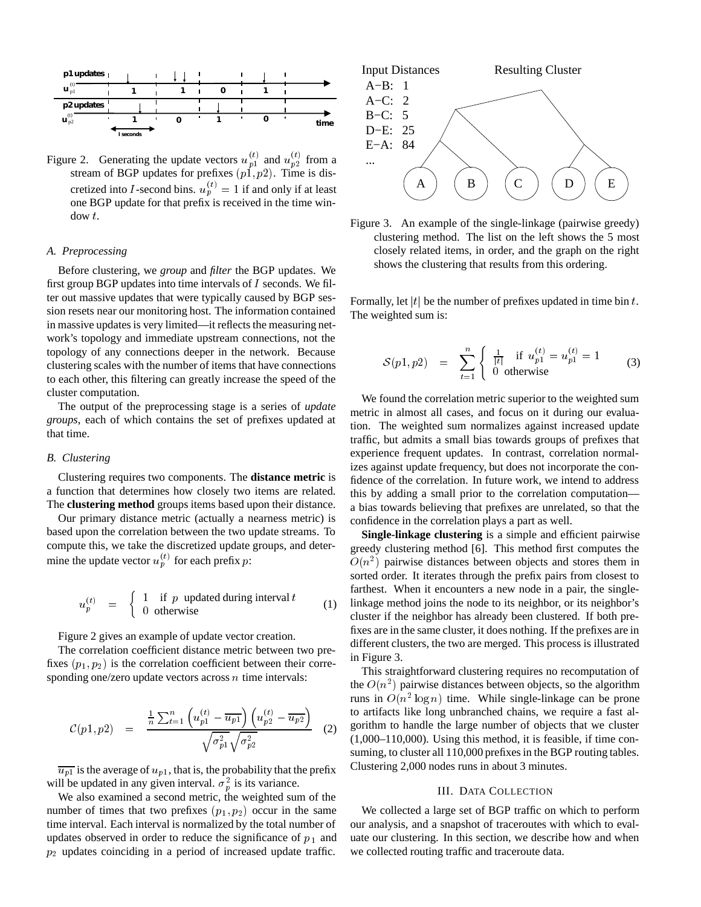

Figure 2. Generating the update vectors  $u_{n1}^{(t)}$  and  $u_{n2}^{(t)}$  from a stream of BGP updates for prefixes  $(p_1, p_2)$ . Time is discretized into I-second bins.  $u_p^{(t)} = 1$  if and only if at least one BGP update for that prefix is received in the time window <sup>t</sup>.

# *A. Preprocessing*

Before clustering, we *group* and *filter* the BGP updates. We first group BGP updates into time intervals of  $I$  seconds. We filter out massive updates that were typically caused by BGP session resets near our monitoring host. The information contained in massive updates is very limited—it reflects the measuring network's topology and immediate upstream connections, not the topology of any connections deeper in the network. Because clustering scales with the number of items that have connections to each other, this filtering can greatly increase the speed of the cluster computation.

The output of the preprocessing stage is a series of *update groups*, each of which contains the set of prefixes updated at that time.

### *B. Clustering*

Clustering requires two components. The **distance metric** is a function that determines how closely two items are related. The **clustering method** groups items based upon their distance.

Our primary distance metric (actually a nearness metric) is based upon the correlation between the two update streams. To compute this, we take the discretized update groups, and determine the update vector  $u_p^{(t)}$  for each prefix p:

$$
u_p^{(t)} = \begin{cases} 1 & \text{if } p \text{ updated during interval } t \\ 0 & \text{otherwise} \end{cases}
$$
 (1)

Figure 2 gives an example of update vector creation.

The correlation coefficient distance metric between two prefixes  $(p_1, p_2)$  is the correlation coefficient between their corresponding one/zero update vectors across  $n$  time intervals:

$$
\mathcal{C}(p1, p2) = \frac{\frac{1}{n} \sum_{t=1}^{n} \left( u_{p1}^{(t)} - \overline{u_{p1}} \right) \left( u_{p2}^{(t)} - \overline{u_{p2}} \right)}{\sqrt{\sigma_{p1}^2} \sqrt{\sigma_{p2}^2}}
$$
 (2) go

 $\overline{u_{p1}}$  is the average of  $u_{p1}$ , that is, the probability that the prefix will be updated in any given interval.  $\sigma_p^2$  is its variance.

We also examined a second metric, the weighted sum of the number of times that two prefixes  $(p_1, p_2)$  occur in the same time interval. Each interval is normalized by the total number of updates observed in order to reduce the significance of  $p_1$  and  $p_2$  updates coinciding in a period of increased update traffic.



Figure 3. An example of the single-linkage (pairwise greedy) clustering method. The list on the left shows the 5 most closely related items, in order, and the graph on the right shows the clustering that results from this ordering.

Formally, let |t| be the number of prefixes updated in time bin t. The weighted sum is:

$$
S(p1, p2) = \sum_{t=1}^{n} \begin{cases} \frac{1}{|t|} & \text{if } u_{p1}^{(t)} = u_{p1}^{(t)} = 1 \\ 0 & \text{otherwise} \end{cases}
$$
 (3)

We found the correlation metric superior to the weighted sum metric in almost all cases, and focus on it during our evaluation. The weighted sum normalizes against increased update traffic, but admits a small bias towards groups of prefixes that experience frequent updates. In contrast, correlation normalizes against update frequency, but does not incorporate the confidence of the correlation. In future work, we intend to address this by adding a small prior to the correlation computation a bias towards believing that prefixes are unrelated, so that the confidence in the correlation plays a part as well.

**Single-linkage clustering** is a simple and efficient pairwise greedy clustering method [6]. This method first computes the  $O(n^2)$  pairwise distances between objects and stores them in sorted order. It iterates through the prefix pairs from closest to farthest. When it encounters a new node in a pair, the singlelinkage method joins the node to its neighbor, or its neighbor's cluster if the neighbor has already been clustered. If both prefixes are in the same cluster, it does nothing. If the prefixes are in different clusters, the two are merged. This process is illustrated in Figure 3.

This straightforward clustering requires no recomputation of the  $O(n^2)$  pairwise distances between objects, so the algorithm runs in  $O(n^2 \log n)$  time. While single-linkage can be prone to artifacts like long unbranched chains, we require a fast algorithm to handle the large number of objects that we cluster (1,000–110,000). Using this method, it is feasible, if time consuming, to cluster all 110,000 prefixes in the BGP routing tables. Clustering 2,000 nodes runs in about 3 minutes.

## III. DATA COLLECTION

We collected a large set of BGP traffic on which to perform our analysis, and a snapshot of traceroutes with which to evaluate our clustering. In this section, we describe how and when we collected routing traffic and traceroute data.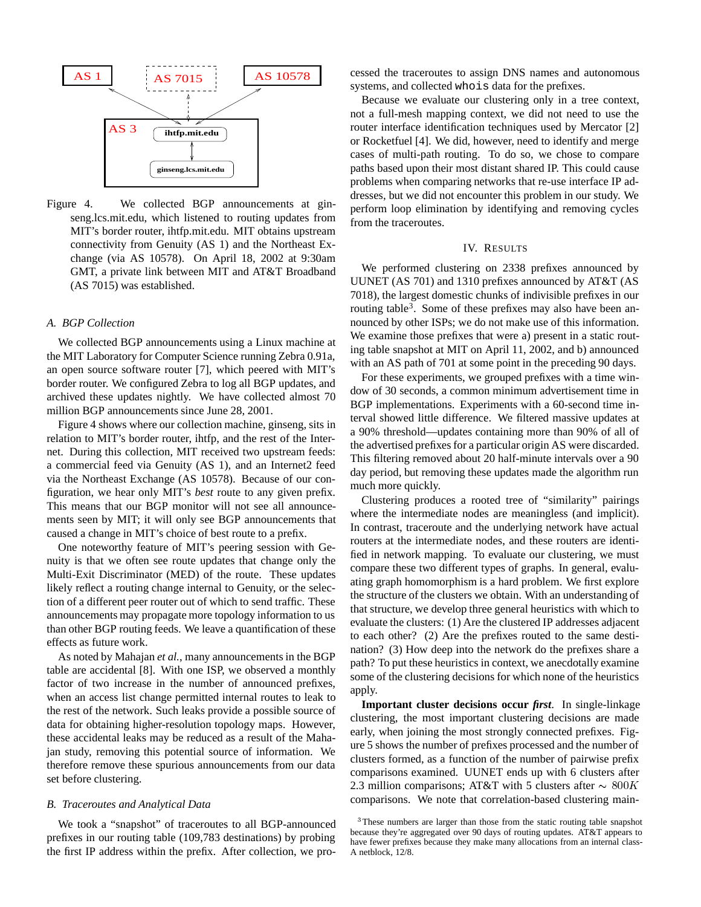

Figure 4. We collected BGP announcements at ginseng.lcs.mit.edu, which listened to routing updates from MIT's border router, ihtfp.mit.edu. MIT obtains upstream connectivity from Genuity (AS 1) and the Northeast Exchange (via AS 10578). On April 18, 2002 at 9:30am GMT, a private link between MIT and AT&T Broadband (AS 7015) was established.

# *A. BGP Collection*

We collected BGP announcements using a Linux machine at the MIT Laboratory for Computer Science running Zebra 0.91a, an open source software router [7], which peered with MIT's border router. We configured Zebra to log all BGP updates, and archived these updates nightly. We have collected almost 70 million BGP announcements since June 28, 2001.

Figure 4 shows where our collection machine, ginseng, sits in relation to MIT's border router, ihtfp, and the rest of the Internet. During this collection, MIT received two upstream feeds: a commercial feed via Genuity (AS 1), and an Internet2 feed via the Northeast Exchange (AS 10578). Because of our configuration, we hear only MIT's *best* route to any given prefix. This means that our BGP monitor will not see all announcements seen by MIT; it will only see BGP announcements that caused a change in MIT's choice of best route to a prefix.

One noteworthy feature of MIT's peering session with Genuity is that we often see route updates that change only the Multi-Exit Discriminator (MED) of the route. These updates likely reflect a routing change internal to Genuity, or the selection of a different peer router out of which to send traffic. These announcements may propagate more topology information to us than other BGP routing feeds. We leave a quantification of these effects as future work.

As noted by Mahajan *et al.*, many announcements in the BGP table are accidental [8]. With one ISP, we observed a monthly factor of two increase in the number of announced prefixes, when an access list change permitted internal routes to leak to the rest of the network. Such leaks provide a possible source of data for obtaining higher-resolution topology maps. However, these accidental leaks may be reduced as a result of the Mahajan study, removing this potential source of information. We therefore remove these spurious announcements from our data set before clustering.

## *B. Traceroutes and Analytical Data*

We took a "snapshot" of traceroutes to all BGP-announced prefixes in our routing table (109,783 destinations) by probing the first IP address within the prefix. After collection, we processed the traceroutes to assign DNS names and autonomous systems, and collected whois data for the prefixes.

Because we evaluate our clustering only in a tree context, not a full-mesh mapping context, we did not need to use the router interface identification techniques used by Mercator [2] or Rocketfuel [4]. We did, however, need to identify and merge cases of multi-path routing. To do so, we chose to compare paths based upon their most distant shared IP. This could cause problems when comparing networks that re-use interface IP addresses, but we did not encounter this problem in our study. We perform loop elimination by identifying and removing cycles from the traceroutes.

## IV. RESULTS

We performed clustering on 2338 prefixes announced by UUNET (AS 701) and 1310 prefixes announced by AT&T (AS 7018), the largest domestic chunks of indivisible prefixes in our routing table<sup>3</sup>. Some of these prefixes may also have been announced by other ISPs; we do not make use of this information. We examine those prefixes that were a) present in a static routing table snapshot at MIT on April 11, 2002, and b) announced with an AS path of 701 at some point in the preceding 90 days.

For these experiments, we grouped prefixes with a time window of 30 seconds, a common minimum advertisement time in BGP implementations. Experiments with a 60-second time interval showed little difference. We filtered massive updates at a 90% threshold—updates containing more than 90% of all of the advertised prefixes for a particular origin AS were discarded. This filtering removed about 20 half-minute intervals over a 90 day period, but removing these updates made the algorithm run much more quickly.

Clustering produces a rooted tree of "similarity" pairings where the intermediate nodes are meaningless (and implicit). In contrast, traceroute and the underlying network have actual routers at the intermediate nodes, and these routers are identified in network mapping. To evaluate our clustering, we must compare these two different types of graphs. In general, evaluating graph homomorphism is a hard problem. We first explore the structure of the clusters we obtain. With an understanding of that structure, we develop three general heuristics with which to evaluate the clusters: (1) Are the clustered IP addresses adjacent to each other? (2) Are the prefixes routed to the same destination? (3) How deep into the network do the prefixes share a path? To put these heuristics in context, we anecdotally examine some of the clustering decisions for which none of the heuristics apply.

**Important cluster decisions occur** *first*. In single-linkage clustering, the most important clustering decisions are made early, when joining the most strongly connected prefixes. Figure 5 shows the number of prefixes processed and the number of clusters formed, as a function of the number of pairwise prefix comparisons examined. UUNET ends up with 6 clusters after 2.3 million comparisons; AT&T with 5 clusters after  $\sim 800K$ comparisons. We note that correlation-based clustering main-

<sup>&</sup>lt;sup>3</sup>These numbers are larger than those from the static routing table snapshot because they're aggregated over 90 days of routing updates. AT&T appears to have fewer prefixes because they make many allocations from an internal class-A netblock, 12/8.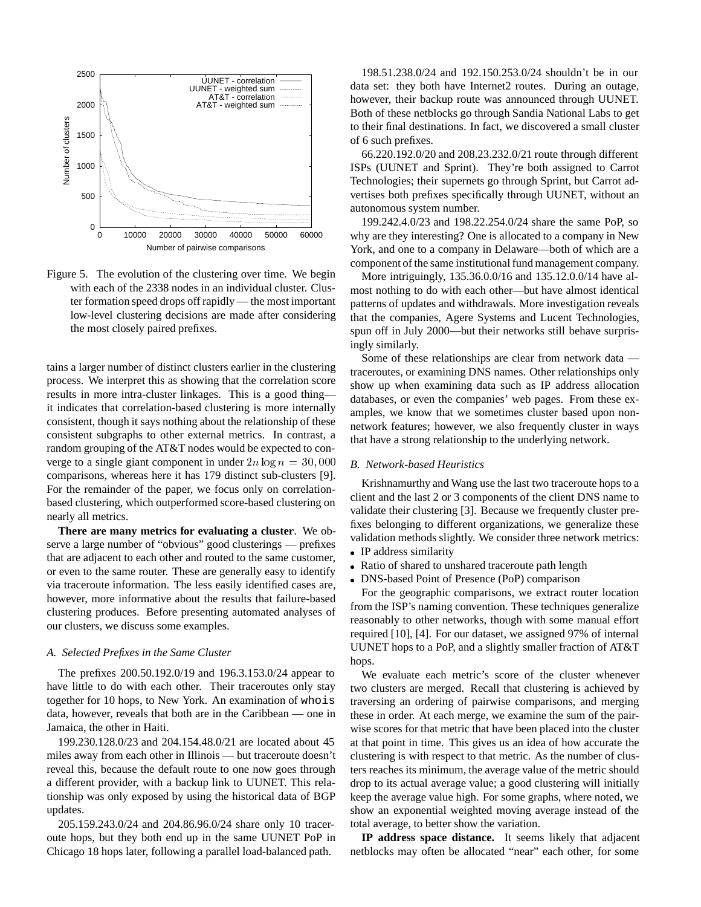

Figure 5. The evolution of the clustering over time. We begin with each of the 2338 nodes in an individual cluster. Cluster formation speed drops off rapidly — the most important low-level clustering decisions are made after considering the most closely paired prefixes.

tains a larger number of distinct clusters earlier in the clustering process. We interpret this as showing that the correlation score results in more intra-cluster linkages. This is a good thing it indicates that correlation-based clustering is more internally consistent, though it says nothing about the relationship of these consistent subgraphs to other external metrics. In contrast, a random grouping of the AT&T nodes would be expected to converge to a single giant component in under  $2n \log n = 30,000$ comparisons, whereas here it has 179 distinct sub-clusters [9]. For the remainder of the paper, we focus only on correlationbased clustering, which outperformed score-based clustering on nearly all metrics.

**There are many metrics for evaluating a cluster**. We observe a large number of "obvious" good clusterings — prefixes that are adjacent to each other and routed to the same customer, or even to the same router. These are generally easy to identify via traceroute information. The less easily identified cases are, however, more informative about the results that failure-based clustering produces. Before presenting automated analyses of our clusters, we discuss some examples.

#### *A. Selected Prefixes in the Same Cluster*

The prefixes 200.50.192.0/19 and 196.3.153.0/24 appear to have little to do with each other. Their traceroutes only stay together for 10 hops, to New York. An examination of whois data, however, reveals that both are in the Caribbean — one in Jamaica, the other in Haiti.

199.230.128.0/23 and 204.154.48.0/21 are located about 45 miles away from each other in Illinois — but traceroute doesn't reveal this, because the default route to one now goes through a different provider, with a backup link to UUNET. This relationship was only exposed by using the historical data of BGP updates.

205.159.243.0/24 and 204.86.96.0/24 share only 10 traceroute hops, but they both end up in the same UUNET PoP in Chicago 18 hops later, following a parallel load-balanced path.

198.51.238.0/24 and 192.150.253.0/24 shouldn't be in our data set: they both have Internet2 routes. During an outage, however, their backup route was announced through UUNET. Both of these netblocks go through Sandia National Labs to get to their final destinations. In fact, we discovered a small cluster of 6 such prefixes.

66.220.192.0/20 and 208.23.232.0/21 route through different ISPs (UUNET and Sprint). They're both assigned to Carrot Technologies; their supernets go through Sprint, but Carrot advertises both prefixes specifically through UUNET, without an autonomous system number.

199.242.4.0/23 and 198.22.254.0/24 share the same PoP, so why are they interesting? One is allocated to a company in New York, and one to a company in Delaware—both of which are a component of the same institutional fund management company.

More intriguingly, 135.36.0.0/16 and 135.12.0.0/14 have almost nothing to do with each other—but have almost identical patterns of updates and withdrawals. More investigation reveals that the companies, Agere Systems and Lucent Technologies, spun off in July 2000—but their networks still behave surprisingly similarly.

Some of these relationships are clear from network data traceroutes, or examining DNS names. Other relationships only show up when examining data such as IP address allocation databases, or even the companies' web pages. From these examples, we know that we sometimes cluster based upon nonnetwork features; however, we also frequently cluster in ways that have a strong relationship to the underlying network.

#### *B. Network-based Heuristics*

Krishnamurthy and Wang use the last two traceroute hops to a client and the last 2 or 3 components of the client DNS name to validate their clustering [3]. Because we frequently cluster prefixes belonging to different organizations, we generalize these validation methods slightly. We consider three network metrics:

- IP address similarity
- Ratio of shared to unshared traceroute path length
- DNS-based Point of Presence (PoP) comparison

For the geographic comparisons, we extract router location from the ISP's naming convention. These techniques generalize reasonably to other networks, though with some manual effort required [10], [4]. For our dataset, we assigned 97% of internal UUNET hops to a PoP, and a slightly smaller fraction of AT&T hops.

We evaluate each metric's score of the cluster whenever two clusters are merged. Recall that clustering is achieved by traversing an ordering of pairwise comparisons, and merging these in order. At each merge, we examine the sum of the pairwise scores for that metric that have been placed into the cluster at that point in time. This gives us an idea of how accurate the clustering is with respect to that metric. As the number of clusters reaches its minimum, the average value of the metric should drop to its actual average value; a good clustering will initially keep the average value high. For some graphs, where noted, we show an exponential weighted moving average instead of the total average, to better show the variation.

**IP address space distance.** It seems likely that adjacent netblocks may often be allocated "near" each other, for some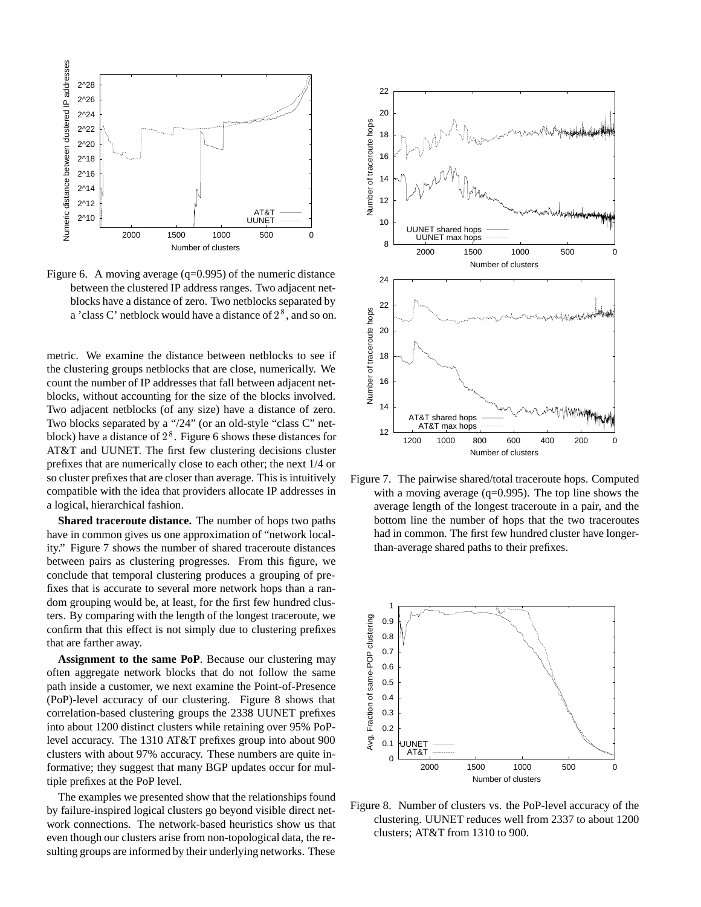

Figure 6. A moving average  $(q=0.995)$  of the numeric distance between the clustered IP address ranges. Two adjacent netblocks have a distance of zero. Two netblocks separated by a 'class C' netblock would have a distance of  $2^8$ , and so on.

metric. We examine the distance between netblocks to see if the clustering groups netblocks that are close, numerically. We count the number of IP addresses that fall between adjacent netblocks, without accounting for the size of the blocks involved. Two adjacent netblocks (of any size) have a distance of zero. Two blocks separated by a "/24" (or an old-style "class C" netblock) have a distance of  $2^8$ . Figure 6 shows these distances for AT&T and UUNET. The first few clustering decisions cluster prefixes that are numerically close to each other; the next 1/4 or so cluster prefixes that are closer than average. This is intuitively compatible with the idea that providers allocate IP addresses in a logical, hierarchical fashion.

**Shared traceroute distance.** The number of hops two paths have in common gives us one approximation of "network locality." Figure 7 shows the number of shared traceroute distances between pairs as clustering progresses. From this figure, we conclude that temporal clustering produces a grouping of prefixes that is accurate to several more network hops than a random grouping would be, at least, for the first few hundred clusters. By comparing with the length of the longest traceroute, we confirm that this effect is not simply due to clustering prefixes that are farther away.

**Assignment to the same PoP**. Because our clustering may often aggregate network blocks that do not follow the same path inside a customer, we next examine the Point-of-Presence (PoP)-level accuracy of our clustering. Figure 8 shows that correlation-based clustering groups the 2338 UUNET prefixes into about 1200 distinct clusters while retaining over 95% PoPlevel accuracy. The 1310 AT&T prefixes group into about 900 clusters with about 97% accuracy. These numbers are quite informative; they suggest that many BGP updates occur for multiple prefixes at the PoP level.

The examples we presented show that the relationships found by failure-inspired logical clusters go beyond visible direct network connections. The network-based heuristics show us that even though our clusters arise from non-topological data, the resulting groups are informed by their underlying networks. These



Figure 7. The pairwise shared/total traceroute hops. Computed with a moving average  $(q=0.995)$ . The top line shows the average length of the longest traceroute in a pair, and the bottom line the number of hops that the two traceroutes had in common. The first few hundred cluster have longerthan-average shared paths to their prefixes.



Figure 8. Number of clusters vs. the PoP-level accuracy of the clustering. UUNET reduces well from 2337 to about 1200 clusters; AT&T from 1310 to 900.